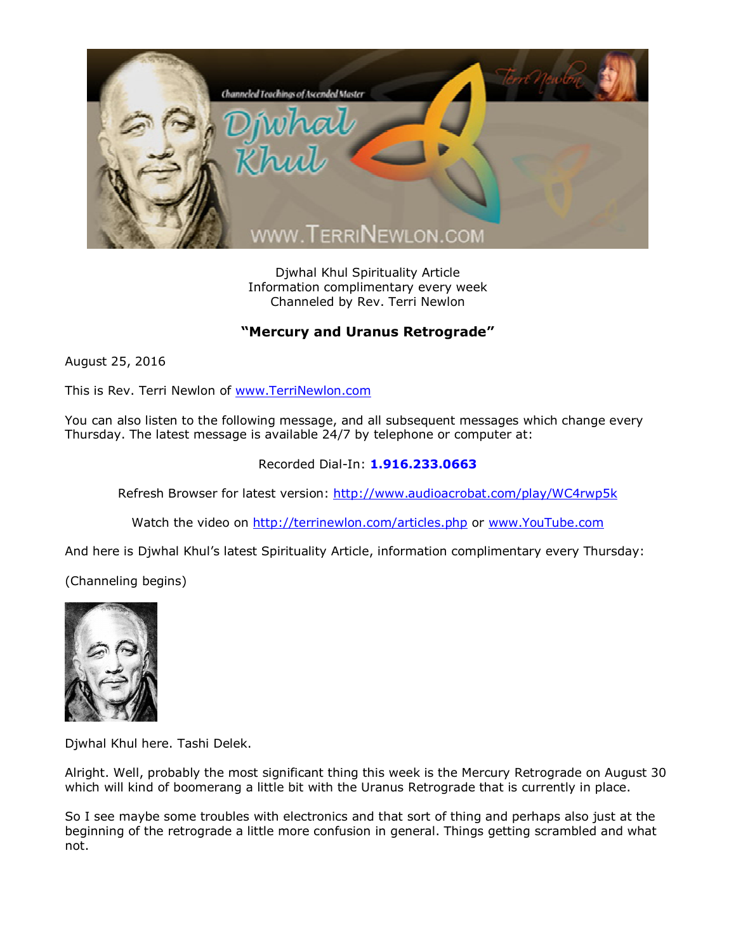

Djwhal Khul Spirituality Article Information complimentary every week Channeled by Rev. Terri Newlon

## **"Mercury and Uranus Retrograde"**

August 25, 2016

This is Rev. Terri Newlon of [www.TerriNewlon.com](http://www.terrinewlon.com/)

You can also listen to the following message, and all subsequent messages which change every Thursday. The latest message is available 24/7 by telephone or computer at:

## Recorded Dial-In: **1.916.233.0663**

Refresh Browser for latest version: <http://www.audioacrobat.com/play/WC4rwp5k>

Watch the video on <http://terrinewlon.com/articles.php> or [www.YouTube.com](http://www.youtube.com/)

And here is Djwhal Khul's latest Spirituality Article, information complimentary every Thursday:

(Channeling begins)



Djwhal Khul here. Tashi Delek.

Alright. Well, probably the most significant thing this week is the Mercury Retrograde on August 30 which will kind of boomerang a little bit with the Uranus Retrograde that is currently in place.

So I see maybe some troubles with electronics and that sort of thing and perhaps also just at the beginning of the retrograde a little more confusion in general. Things getting scrambled and what not.